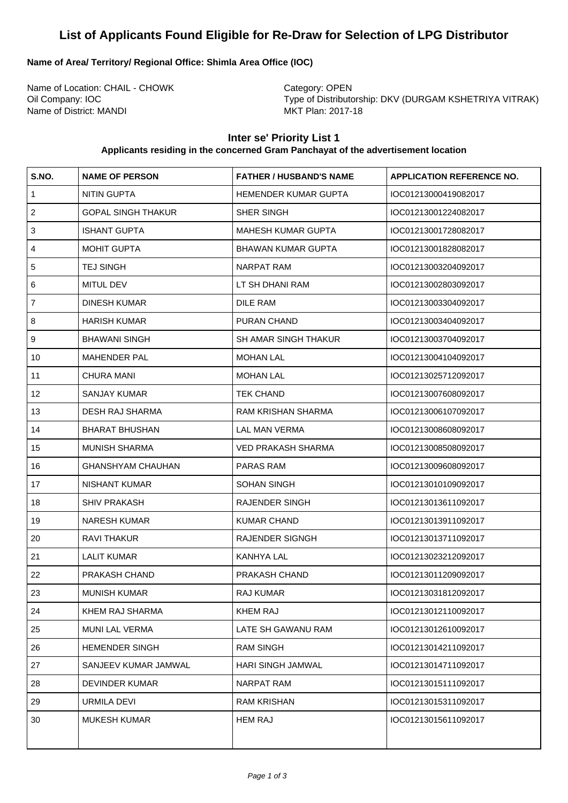# **List of Applicants Found Eligible for Re-Draw for Selection of LPG Distributor**

#### **Name of Area/ Territory/ Regional Office: Shimla Area Office (IOC)**

Name of Location: CHAIL - CHOWK Category: OPEN Name of District: MANDI

Oil Company: IOC <br>
Type of Distributorship: DKV (DURGAM KSHETRIYA VITRAK)<br>
MKT Plan: 2017-18

### **Inter se' Priority List 1**

#### **Applicants residing in the concerned Gram Panchayat of the advertisement location**

| S.NO.          | <b>NAME OF PERSON</b>     | <b>FATHER / HUSBAND'S NAME</b> | <b>APPLICATION REFERENCE NO.</b> |
|----------------|---------------------------|--------------------------------|----------------------------------|
| $\mathbf{1}$   | <b>NITIN GUPTA</b>        | HEMENDER KUMAR GUPTA           | IOC01213000419082017             |
| $\overline{c}$ | <b>GOPAL SINGH THAKUR</b> | SHER SINGH                     | IOC01213001224082017             |
| $\mathbf{3}$   | <b>ISHANT GUPTA</b>       | <b>MAHESH KUMAR GUPTA</b>      | IOC01213001728082017             |
| 4              | <b>MOHIT GUPTA</b>        | <b>BHAWAN KUMAR GUPTA</b>      | IOC01213001828082017             |
| $\overline{5}$ | <b>TEJ SINGH</b>          | <b>NARPAT RAM</b>              | IOC01213003204092017             |
| 6              | MITUL DEV                 | LT SH DHANI RAM                | IOC01213002803092017             |
| $\overline{7}$ | <b>DINESH KUMAR</b>       | DILE RAM                       | IOC01213003304092017             |
| 8              | <b>HARISH KUMAR</b>       | PURAN CHAND                    | IOC01213003404092017             |
| 9              | <b>BHAWANI SINGH</b>      | <b>SH AMAR SINGH THAKUR</b>    | IOC01213003704092017             |
| 10             | <b>MAHENDER PAL</b>       | <b>MOHAN LAL</b>               | IOC01213004104092017             |
| 11             | <b>CHURA MANI</b>         | <b>MOHAN LAL</b>               | IOC01213025712092017             |
| 12             | <b>SANJAY KUMAR</b>       | <b>TEK CHAND</b>               | IOC01213007608092017             |
| 13             | <b>DESH RAJ SHARMA</b>    | <b>RAM KRISHAN SHARMA</b>      | IOC01213006107092017             |
| 14             | <b>BHARAT BHUSHAN</b>     | <b>LAL MAN VERMA</b>           | IOC01213008608092017             |
| 15             | <b>MUNISH SHARMA</b>      | <b>VED PRAKASH SHARMA</b>      | IOC01213008508092017             |
| 16             | <b>GHANSHYAM CHAUHAN</b>  | PARAS RAM                      | IOC01213009608092017             |
| 17             | <b>NISHANT KUMAR</b>      | <b>SOHAN SINGH</b>             | IOC01213010109092017             |
| 18             | <b>SHIV PRAKASH</b>       | <b>RAJENDER SINGH</b>          | IOC01213013611092017             |
| 19             | <b>NARESH KUMAR</b>       | <b>KUMAR CHAND</b>             | IOC01213013911092017             |
| 20             | <b>RAVI THAKUR</b>        | <b>RAJENDER SIGNGH</b>         | IOC01213013711092017             |
| 21             | <b>LALIT KUMAR</b>        | KANHYA LAL                     | IOC01213023212092017             |
| 22             | PRAKASH CHAND             | PRAKASH CHAND                  | IOC01213011209092017             |
| 23             | <b>MUNISH KUMAR</b>       | RAJ KUMAR                      | IOC01213031812092017             |
| 24             | KHEM RAJ SHARMA           | <b>KHEM RAJ</b>                | IOC01213012110092017             |
| 25             | <b>MUNI LAL VERMA</b>     | LATE SH GAWANU RAM             | IOC01213012610092017             |
| 26             | <b>HEMENDER SINGH</b>     | <b>RAM SINGH</b>               | IOC01213014211092017             |
| 27             | SANJEEV KUMAR JAMWAL      | HARI SINGH JAMWAL              | IOC01213014711092017             |
| 28             | <b>DEVINDER KUMAR</b>     | NARPAT RAM                     | IOC01213015111092017             |
| 29             | URMILA DEVI               | <b>RAM KRISHAN</b>             | IOC01213015311092017             |
| 30             | <b>MUKESH KUMAR</b>       | <b>HEM RAJ</b>                 | IOC01213015611092017             |
|                |                           |                                |                                  |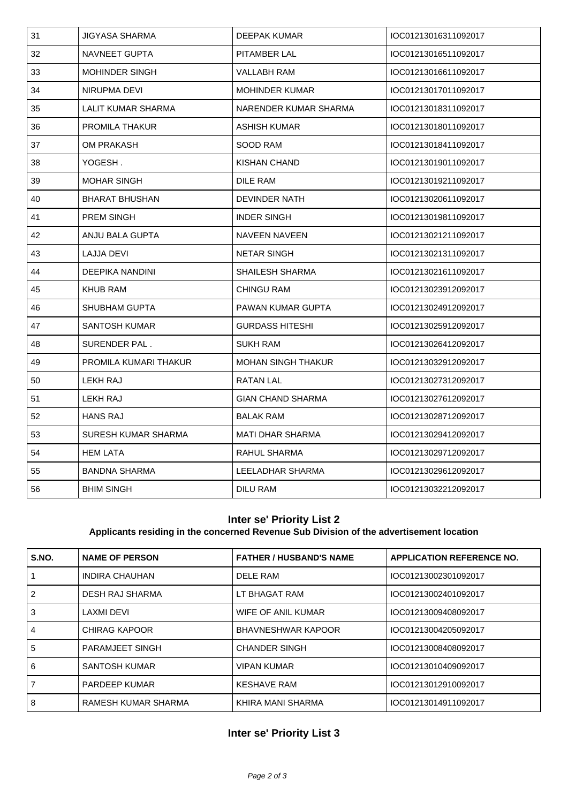| 31 | <b>JIGYASA SHARMA</b>     | <b>DEEPAK KUMAR</b>       | IOC01213016311092017 |
|----|---------------------------|---------------------------|----------------------|
| 32 | NAVNEET GUPTA             | <b>PITAMBER LAL</b>       | IOC01213016511092017 |
| 33 | <b>MOHINDER SINGH</b>     | VALLABH RAM               | IOC01213016611092017 |
| 34 | NIRUPMA DEVI              | <b>MOHINDER KUMAR</b>     | IOC01213017011092017 |
| 35 | <b>LALIT KUMAR SHARMA</b> | NARENDER KUMAR SHARMA     | IOC01213018311092017 |
| 36 | <b>PROMILA THAKUR</b>     | ASHISH KUMAR              | IOC01213018011092017 |
| 37 | OM PRAKASH                | SOOD RAM                  | IOC01213018411092017 |
| 38 | YOGESH.                   | KISHAN CHAND              | IOC01213019011092017 |
| 39 | <b>MOHAR SINGH</b>        | DILE RAM                  | IOC01213019211092017 |
| 40 | <b>BHARAT BHUSHAN</b>     | DEVINDER NATH             | IOC01213020611092017 |
| 41 | <b>PREM SINGH</b>         | <b>INDER SINGH</b>        | IOC01213019811092017 |
| 42 | ANJU BALA GUPTA           | <b>NAVEEN NAVEEN</b>      | IOC01213021211092017 |
| 43 | LAJJA DEVI                | <b>NETAR SINGH</b>        | IOC01213021311092017 |
| 44 | <b>DEEPIKA NANDINI</b>    | <b>SHAILESH SHARMA</b>    | IOC01213021611092017 |
| 45 | <b>KHUB RAM</b>           | <b>CHINGU RAM</b>         | IOC01213023912092017 |
| 46 | <b>SHUBHAM GUPTA</b>      | PAWAN KUMAR GUPTA         | IOC01213024912092017 |
| 47 | SANTOSH KUMAR             | <b>GURDASS HITESHI</b>    | IOC01213025912092017 |
| 48 | SURENDER PAL.             | <b>SUKH RAM</b>           | IOC01213026412092017 |
| 49 | PROMILA KUMARI THAKUR     | <b>MOHAN SINGH THAKUR</b> | IOC01213032912092017 |
| 50 | LEKH RAJ                  | RATAN LAL                 | IOC01213027312092017 |
| 51 | LEKH RAJ                  | <b>GIAN CHAND SHARMA</b>  | IOC01213027612092017 |
| 52 | <b>HANS RAJ</b>           | <b>BALAK RAM</b>          | IOC01213028712092017 |
| 53 | SURESH KUMAR SHARMA       | <b>MATI DHAR SHARMA</b>   | IOC01213029412092017 |
| 54 | <b>HEM LATA</b>           | RAHUL SHARMA              | IOC01213029712092017 |
| 55 | <b>BANDNA SHARMA</b>      | LEELADHAR SHARMA          | IOC01213029612092017 |
| 56 | <b>BHIM SINGH</b>         | <b>DILU RAM</b>           | IOC01213032212092017 |

#### **Inter se' Priority List 2**

#### **Applicants residing in the concerned Revenue Sub Division of the advertisement location**

| S.NO. | <b>NAME OF PERSON</b>  | <b>FATHER / HUSBAND'S NAME</b> | <b>APPLICATION REFERENCE NO.</b> |
|-------|------------------------|--------------------------------|----------------------------------|
|       | <b>INDIRA CHAUHAN</b>  | <b>DELE RAM</b>                | IOC01213002301092017             |
| 2     | DESH RAJ SHARMA        | LT BHAGAT RAM                  | IOC01213002401092017             |
| 3     | LAXMI DEVI             | WIFE OF ANIL KUMAR             | IOC01213009408092017             |
| 4     | CHIRAG KAPOOR          | <b>BHAVNESHWAR KAPOOR</b>      | IOC01213004205092017             |
| 5     | <b>PARAMJEET SINGH</b> | <b>CHANDER SINGH</b>           | IOC01213008408092017             |
| 6     | <b>SANTOSH KUMAR</b>   | <b>VIPAN KUMAR</b>             | IOC01213010409092017             |
|       | <b>PARDEEP KUMAR</b>   | <b>KESHAVE RAM</b>             | IOC01213012910092017             |
| 8     | RAMESH KUMAR SHARMA    | KHIRA MANI SHARMA              | IOC01213014911092017             |

## **Inter se' Priority List 3**